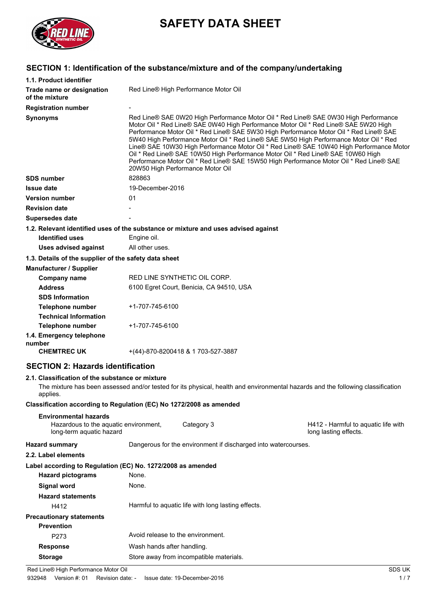

# **SAFETY DATA SHEET**

## **SECTION 1: Identification of the substance/mixture and of the company/undertaking**

| 1.1. Product identifier                                                                           |                                                                                                                                                                                                                                                                                                                                                                                                                                                                                                                                                                                                                                                                          |                                                              |  |
|---------------------------------------------------------------------------------------------------|--------------------------------------------------------------------------------------------------------------------------------------------------------------------------------------------------------------------------------------------------------------------------------------------------------------------------------------------------------------------------------------------------------------------------------------------------------------------------------------------------------------------------------------------------------------------------------------------------------------------------------------------------------------------------|--------------------------------------------------------------|--|
| Trade name or designation<br>of the mixture                                                       | Red Line® High Performance Motor Oil                                                                                                                                                                                                                                                                                                                                                                                                                                                                                                                                                                                                                                     |                                                              |  |
| <b>Registration number</b>                                                                        |                                                                                                                                                                                                                                                                                                                                                                                                                                                                                                                                                                                                                                                                          |                                                              |  |
| <b>Synonyms</b>                                                                                   | Red Line® SAE 0W20 High Performance Motor Oil * Red Line® SAE 0W30 High Performance<br>Motor Oil * Red Line® SAE 0W40 High Performance Motor Oil * Red Line® SAE 5W20 High<br>Performance Motor Oil * Red Line® SAE 5W30 High Performance Motor Oil * Red Line® SAE<br>5W40 High Performance Motor Oil * Red Line® SAE 5W50 High Performance Motor Oil * Red<br>Line® SAE 10W30 High Performance Motor Oil * Red Line® SAE 10W40 High Performance Motor<br>Oil * Red Line® SAE 10W50 High Performance Motor Oil * Red Line® SAE 10W60 High<br>Performance Motor Oil * Red Line® SAE 15W50 High Performance Motor Oil * Red Line® SAE<br>20W50 High Performance Motor Oil |                                                              |  |
| <b>SDS number</b>                                                                                 | 828863                                                                                                                                                                                                                                                                                                                                                                                                                                                                                                                                                                                                                                                                   |                                                              |  |
| <b>Issue date</b>                                                                                 | 19-December-2016                                                                                                                                                                                                                                                                                                                                                                                                                                                                                                                                                                                                                                                         |                                                              |  |
| <b>Version number</b>                                                                             | 01                                                                                                                                                                                                                                                                                                                                                                                                                                                                                                                                                                                                                                                                       |                                                              |  |
| <b>Revision date</b>                                                                              |                                                                                                                                                                                                                                                                                                                                                                                                                                                                                                                                                                                                                                                                          |                                                              |  |
| Supersedes date                                                                                   |                                                                                                                                                                                                                                                                                                                                                                                                                                                                                                                                                                                                                                                                          |                                                              |  |
| <b>Identified uses</b>                                                                            | 1.2. Relevant identified uses of the substance or mixture and uses advised against<br>Engine oil.                                                                                                                                                                                                                                                                                                                                                                                                                                                                                                                                                                        |                                                              |  |
| <b>Uses advised against</b>                                                                       | All other uses.                                                                                                                                                                                                                                                                                                                                                                                                                                                                                                                                                                                                                                                          |                                                              |  |
| 1.3. Details of the supplier of the safety data sheet                                             |                                                                                                                                                                                                                                                                                                                                                                                                                                                                                                                                                                                                                                                                          |                                                              |  |
| <b>Manufacturer / Supplier</b>                                                                    |                                                                                                                                                                                                                                                                                                                                                                                                                                                                                                                                                                                                                                                                          |                                                              |  |
| <b>Company name</b>                                                                               | RED LINE SYNTHETIC OIL CORP.                                                                                                                                                                                                                                                                                                                                                                                                                                                                                                                                                                                                                                             |                                                              |  |
| <b>Address</b>                                                                                    | 6100 Egret Court, Benicia, CA 94510, USA                                                                                                                                                                                                                                                                                                                                                                                                                                                                                                                                                                                                                                 |                                                              |  |
| <b>SDS Information</b>                                                                            |                                                                                                                                                                                                                                                                                                                                                                                                                                                                                                                                                                                                                                                                          |                                                              |  |
| Telephone number                                                                                  | +1-707-745-6100                                                                                                                                                                                                                                                                                                                                                                                                                                                                                                                                                                                                                                                          |                                                              |  |
| <b>Technical Information</b>                                                                      |                                                                                                                                                                                                                                                                                                                                                                                                                                                                                                                                                                                                                                                                          |                                                              |  |
| <b>Telephone number</b>                                                                           | +1-707-745-6100                                                                                                                                                                                                                                                                                                                                                                                                                                                                                                                                                                                                                                                          |                                                              |  |
| 1.4. Emergency telephone<br>number                                                                |                                                                                                                                                                                                                                                                                                                                                                                                                                                                                                                                                                                                                                                                          |                                                              |  |
| <b>CHEMTREC UK</b>                                                                                | +(44)-870-8200418 & 1 703-527-3887                                                                                                                                                                                                                                                                                                                                                                                                                                                                                                                                                                                                                                       |                                                              |  |
| <b>SECTION 2: Hazards identification</b>                                                          |                                                                                                                                                                                                                                                                                                                                                                                                                                                                                                                                                                                                                                                                          |                                                              |  |
| 2.1. Classification of the substance or mixture<br>applies.                                       | The mixture has been assessed and/or tested for its physical, health and environmental hazards and the following classification                                                                                                                                                                                                                                                                                                                                                                                                                                                                                                                                          |                                                              |  |
|                                                                                                   | Classification according to Regulation (EC) No 1272/2008 as amended                                                                                                                                                                                                                                                                                                                                                                                                                                                                                                                                                                                                      |                                                              |  |
| <b>Environmental hazards</b><br>Hazardous to the aquatic environment,<br>long-term aquatic hazard | Category 3                                                                                                                                                                                                                                                                                                                                                                                                                                                                                                                                                                                                                                                               | H412 - Harmful to aquatic life with<br>long lasting effects. |  |
| <b>Hazard summary</b>                                                                             | Dangerous for the environment if discharged into watercourses.                                                                                                                                                                                                                                                                                                                                                                                                                                                                                                                                                                                                           |                                                              |  |
| 2.2. Label elements                                                                               |                                                                                                                                                                                                                                                                                                                                                                                                                                                                                                                                                                                                                                                                          |                                                              |  |
| Label according to Regulation (EC) No. 1272/2008 as amended                                       |                                                                                                                                                                                                                                                                                                                                                                                                                                                                                                                                                                                                                                                                          |                                                              |  |
| <b>Hazard pictograms</b>                                                                          | None.                                                                                                                                                                                                                                                                                                                                                                                                                                                                                                                                                                                                                                                                    |                                                              |  |
| <b>Signal word</b>                                                                                | None.                                                                                                                                                                                                                                                                                                                                                                                                                                                                                                                                                                                                                                                                    |                                                              |  |
| <b>Hazard statements</b>                                                                          |                                                                                                                                                                                                                                                                                                                                                                                                                                                                                                                                                                                                                                                                          |                                                              |  |
| H412                                                                                              | Harmful to aquatic life with long lasting effects.                                                                                                                                                                                                                                                                                                                                                                                                                                                                                                                                                                                                                       |                                                              |  |
| <b>Precautionary statements</b>                                                                   |                                                                                                                                                                                                                                                                                                                                                                                                                                                                                                                                                                                                                                                                          |                                                              |  |
| <b>Prevention</b>                                                                                 |                                                                                                                                                                                                                                                                                                                                                                                                                                                                                                                                                                                                                                                                          |                                                              |  |
| P273                                                                                              | Avoid release to the environment.                                                                                                                                                                                                                                                                                                                                                                                                                                                                                                                                                                                                                                        |                                                              |  |
| <b>Response</b>                                                                                   | Wash hands after handling.                                                                                                                                                                                                                                                                                                                                                                                                                                                                                                                                                                                                                                               |                                                              |  |
| <b>Storage</b>                                                                                    | Store away from incompatible materials.                                                                                                                                                                                                                                                                                                                                                                                                                                                                                                                                                                                                                                  |                                                              |  |
|                                                                                                   |                                                                                                                                                                                                                                                                                                                                                                                                                                                                                                                                                                                                                                                                          |                                                              |  |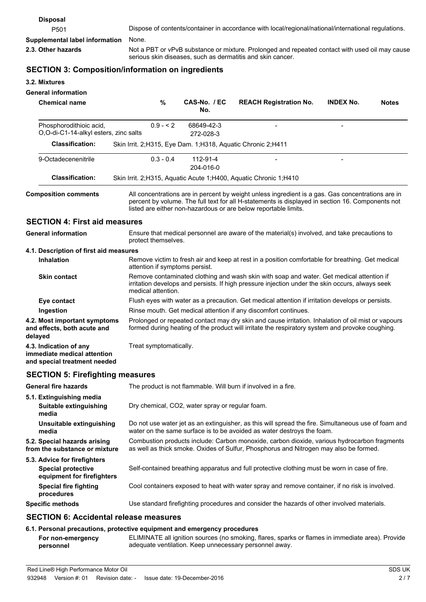| <b>Disposal</b>                                                                       |                                                                                                                                                              |                                                 |                                                                                                                                                                                                                                                                          |                  |              |
|---------------------------------------------------------------------------------------|--------------------------------------------------------------------------------------------------------------------------------------------------------------|-------------------------------------------------|--------------------------------------------------------------------------------------------------------------------------------------------------------------------------------------------------------------------------------------------------------------------------|------------------|--------------|
| P501                                                                                  | Dispose of contents/container in accordance with local/regional/national/international regulations.                                                          |                                                 |                                                                                                                                                                                                                                                                          |                  |              |
| <b>Supplemental label information</b>                                                 | None.                                                                                                                                                        |                                                 |                                                                                                                                                                                                                                                                          |                  |              |
| 2.3. Other hazards                                                                    | Not a PBT or vPvB substance or mixture. Prolonged and repeated contact with used oil may cause<br>serious skin diseases, such as dermatitis and skin cancer. |                                                 |                                                                                                                                                                                                                                                                          |                  |              |
| <b>SECTION 3: Composition/information on ingredients</b>                              |                                                                                                                                                              |                                                 |                                                                                                                                                                                                                                                                          |                  |              |
| 3.2. Mixtures                                                                         |                                                                                                                                                              |                                                 |                                                                                                                                                                                                                                                                          |                  |              |
| <b>General information</b>                                                            |                                                                                                                                                              |                                                 |                                                                                                                                                                                                                                                                          |                  |              |
| <b>Chemical name</b>                                                                  | %                                                                                                                                                            | CAS-No. / EC<br>No.                             | <b>REACH Registration No.</b>                                                                                                                                                                                                                                            | <b>INDEX No.</b> | <b>Notes</b> |
| Phosphorodithioic acid,<br>O,O-di-C1-14-alkyl esters, zinc salts                      | $0.9 - 2$                                                                                                                                                    | 68649-42-3<br>272-028-3                         |                                                                                                                                                                                                                                                                          |                  |              |
| <b>Classification:</b>                                                                |                                                                                                                                                              |                                                 | Skin Irrit. 2;H315, Eye Dam. 1;H318, Aquatic Chronic 2;H411                                                                                                                                                                                                              |                  |              |
| 9-Octadecenenitrile                                                                   | $0.3 - 0.4$                                                                                                                                                  | 112-91-4<br>204-016-0                           |                                                                                                                                                                                                                                                                          |                  |              |
| <b>Classification:</b>                                                                |                                                                                                                                                              |                                                 | Skin Irrit. 2;H315, Aquatic Acute 1;H400, Aquatic Chronic 1;H410                                                                                                                                                                                                         |                  |              |
| <b>Composition comments</b>                                                           |                                                                                                                                                              |                                                 | All concentrations are in percent by weight unless ingredient is a gas. Gas concentrations are in<br>percent by volume. The full text for all H-statements is displayed in section 16. Components not<br>listed are either non-hazardous or are below reportable limits. |                  |              |
| <b>SECTION 4: First aid measures</b>                                                  |                                                                                                                                                              |                                                 |                                                                                                                                                                                                                                                                          |                  |              |
| <b>General information</b>                                                            | protect themselves.                                                                                                                                          |                                                 | Ensure that medical personnel are aware of the material(s) involved, and take precautions to                                                                                                                                                                             |                  |              |
| 4.1. Description of first aid measures                                                |                                                                                                                                                              |                                                 |                                                                                                                                                                                                                                                                          |                  |              |
| <b>Inhalation</b>                                                                     | attention if symptoms persist.                                                                                                                               |                                                 | Remove victim to fresh air and keep at rest in a position comfortable for breathing. Get medical                                                                                                                                                                         |                  |              |
| <b>Skin contact</b>                                                                   | medical attention.                                                                                                                                           |                                                 | Remove contaminated clothing and wash skin with soap and water. Get medical attention if<br>irritation develops and persists. If high pressure injection under the skin occurs, always seek                                                                              |                  |              |
| Eye contact                                                                           |                                                                                                                                                              |                                                 | Flush eyes with water as a precaution. Get medical attention if irritation develops or persists.                                                                                                                                                                         |                  |              |
| Ingestion                                                                             |                                                                                                                                                              |                                                 | Rinse mouth. Get medical attention if any discomfort continues.                                                                                                                                                                                                          |                  |              |
| 4.2. Most important symptoms<br>and effects, both acute and<br>delayed                |                                                                                                                                                              |                                                 | Prolonged or repeated contact may dry skin and cause irritation. Inhalation of oil mist or vapours<br>formed during heating of the product will irritate the respiratory system and provoke coughing.                                                                    |                  |              |
| 4.3. Indication of any<br>immediate medical attention<br>and special treatment needed | Treat symptomatically.                                                                                                                                       |                                                 |                                                                                                                                                                                                                                                                          |                  |              |
| <b>SECTION 5: Firefighting measures</b>                                               |                                                                                                                                                              |                                                 |                                                                                                                                                                                                                                                                          |                  |              |
| <b>General fire hazards</b>                                                           |                                                                                                                                                              |                                                 | The product is not flammable. Will burn if involved in a fire.                                                                                                                                                                                                           |                  |              |
| 5.1. Extinguishing media                                                              |                                                                                                                                                              |                                                 |                                                                                                                                                                                                                                                                          |                  |              |
| Suitable extinguishing<br>media                                                       |                                                                                                                                                              | Dry chemical, CO2, water spray or regular foam. |                                                                                                                                                                                                                                                                          |                  |              |
| Unsuitable extinguishing<br>media                                                     |                                                                                                                                                              |                                                 | Do not use water jet as an extinguisher, as this will spread the fire. Simultaneous use of foam and<br>water on the same surface is to be avoided as water destroys the foam.                                                                                            |                  |              |
| 5.2. Special hazards arising<br>from the substance or mixture                         |                                                                                                                                                              |                                                 | Combustion products include: Carbon monoxide, carbon dioxide, various hydrocarbon fragments<br>as well as thick smoke. Oxides of Sulfur, Phosphorus and Nitrogen may also be formed.                                                                                     |                  |              |

| 5.3. Advice for firefighters                            |                                                                                                |
|---------------------------------------------------------|------------------------------------------------------------------------------------------------|
| <b>Special protective</b><br>equipment for firefighters | Self-contained breathing apparatus and full protective clothing must be worn in case of fire.  |
| <b>Special fire fighting</b><br>procedures              | Cool containers exposed to heat with water spray and remove container, if no risk is involved. |
| <b>Specific methods</b>                                 | Use standard firefighting procedures and consider the hazards of other involved materials.     |

### **SECTION 6: Accidental release measures**

#### **6.1. Personal precautions, protective equipment and emergency procedures**

ELIMINATE all ignition sources (no smoking, flares, sparks or flames in immediate area). Provide adequate ventilation. Keep unnecessary personnel away. **For non-emergency personnel**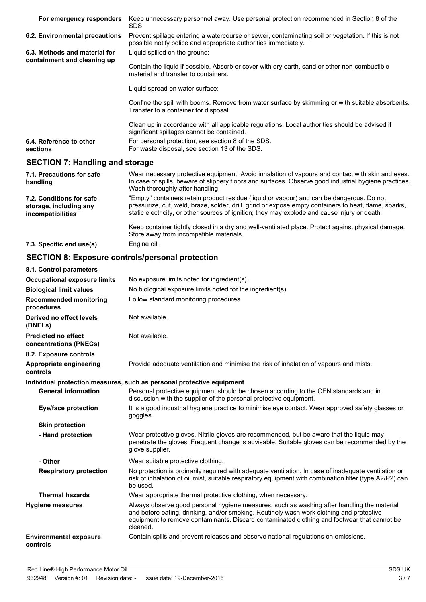| For emergency responders                                     | Keep unnecessary personnel away. Use personal protection recommended in Section 8 of the<br>SDS.                                                                                                          |
|--------------------------------------------------------------|-----------------------------------------------------------------------------------------------------------------------------------------------------------------------------------------------------------|
| 6.2. Environmental precautions                               | Prevent spillage entering a watercourse or sewer, contaminating soil or vegetation. If this is not<br>possible notify police and appropriate authorities immediately.                                     |
| 6.3. Methods and material for<br>containment and cleaning up | Liquid spilled on the ground:                                                                                                                                                                             |
|                                                              | Contain the liquid if possible. Absorb or cover with dry earth, sand or other non-combustible<br>material and transfer to containers.                                                                     |
|                                                              | Liquid spread on water surface:                                                                                                                                                                           |
|                                                              | Confine the spill with booms. Remove from water surface by skimming or with suitable absorbents.<br>Transfer to a container for disposal.                                                                 |
|                                                              | Clean up in accordance with all applicable regulations. Local authorities should be advised if<br>significant spillages cannot be contained.                                                              |
| 6.4. Reference to other<br>sections                          | For personal protection, see section 8 of the SDS.<br>For waste disposal, see section 13 of the SDS.                                                                                                      |
| <b>SECTION 7: Handling and storage</b>                       |                                                                                                                                                                                                           |
| 7.1. Precautions for safe<br>handling                        | Wear necessary protective equipment. Avoid inhalation of vapours and contact with skin and eyes.<br>In case of spills, beware of slippery floors and surfaces. Observe good industrial hygiene practices. |

Wash thoroughly after handling. "Empty" containers retain product residue (liquid or vapour) and can be dangerous. Do not pressurize, cut, weld, braze, solder, drill, grind or expose empty containers to heat, flame, sparks, static electricity, or other sources of ignition; they may explode and cause injury or death. **7.2. Conditions for safe storage, including any incompatibilities**

Keep container tightly closed in a dry and well-ventilated place. Protect against physical damage. Store away from incompatible materials. 7.3. Specific end use(s) **Engine oil.** 

## **SECTION 8: Exposure controls/personal protection**

| 8.1. Control parameters                              |                                                                                                                                                                                                                                                                                                   |
|------------------------------------------------------|---------------------------------------------------------------------------------------------------------------------------------------------------------------------------------------------------------------------------------------------------------------------------------------------------|
| <b>Occupational exposure limits</b>                  | No exposure limits noted for ingredient(s).                                                                                                                                                                                                                                                       |
| <b>Biological limit values</b>                       | No biological exposure limits noted for the ingredient(s).                                                                                                                                                                                                                                        |
| <b>Recommended monitoring</b><br>procedures          | Follow standard monitoring procedures.                                                                                                                                                                                                                                                            |
| Derived no effect levels<br>(DNELs)                  | Not available.                                                                                                                                                                                                                                                                                    |
| <b>Predicted no effect</b><br>concentrations (PNECs) | Not available.                                                                                                                                                                                                                                                                                    |
| 8.2. Exposure controls                               |                                                                                                                                                                                                                                                                                                   |
| Appropriate engineering<br>controls                  | Provide adequate ventilation and minimise the risk of inhalation of vapours and mists.                                                                                                                                                                                                            |
|                                                      | Individual protection measures, such as personal protective equipment                                                                                                                                                                                                                             |
| <b>General information</b>                           | Personal protective equipment should be chosen according to the CEN standards and in<br>discussion with the supplier of the personal protective equipment.                                                                                                                                        |
| <b>Eye/face protection</b>                           | It is a good industrial hygiene practice to minimise eye contact. Wear approved safety glasses or<br>goggles.                                                                                                                                                                                     |
| <b>Skin protection</b>                               |                                                                                                                                                                                                                                                                                                   |
| - Hand protection                                    | Wear protective gloves. Nitrile gloves are recommended, but be aware that the liquid may<br>penetrate the gloves. Frequent change is advisable. Suitable gloves can be recommended by the<br>glove supplier.                                                                                      |
| - Other                                              | Wear suitable protective clothing.                                                                                                                                                                                                                                                                |
| <b>Respiratory protection</b>                        | No protection is ordinarily required with adequate ventilation. In case of inadequate ventilation or<br>risk of inhalation of oil mist, suitable respiratory equipment with combination filter (type A2/P2) can<br>be used.                                                                       |
| <b>Thermal hazards</b>                               | Wear appropriate thermal protective clothing, when necessary.                                                                                                                                                                                                                                     |
| <b>Hygiene measures</b>                              | Always observe good personal hygiene measures, such as washing after handling the material<br>and before eating, drinking, and/or smoking. Routinely wash work clothing and protective<br>equipment to remove contaminants. Discard contaminated clothing and footwear that cannot be<br>cleaned. |
| <b>Environmental exposure</b><br>controls            | Contain spills and prevent releases and observe national regulations on emissions.                                                                                                                                                                                                                |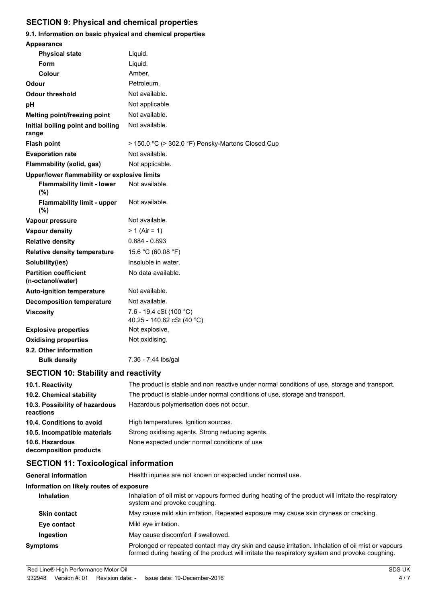## **SECTION 9: Physical and chemical properties**

## **9.1. Information on basic physical and chemical properties Appearance**

| <b>Physical state</b>                             | Liquid.                                                                                       |
|---------------------------------------------------|-----------------------------------------------------------------------------------------------|
| <b>Form</b>                                       | Liquid.                                                                                       |
| Colour                                            | Amber.                                                                                        |
| Odour                                             | Petroleum.                                                                                    |
| <b>Odour threshold</b>                            | Not available.                                                                                |
| рH                                                | Not applicable.                                                                               |
| Melting point/freezing point                      | Not available.                                                                                |
| Initial boiling point and boiling<br>range        | Not available.                                                                                |
| <b>Flash point</b>                                | > 150.0 °C (> 302.0 °F) Pensky-Martens Closed Cup                                             |
| <b>Evaporation rate</b>                           | Not available.                                                                                |
| Flammability (solid, gas)                         | Not applicable.                                                                               |
| Upper/lower flammability or explosive limits      |                                                                                               |
| <b>Flammability limit - lower</b><br>(%)          | Not available.                                                                                |
| <b>Flammability limit - upper</b><br>$(\%)$       | Not available.                                                                                |
| Vapour pressure                                   | Not available.                                                                                |
| <b>Vapour density</b>                             | $> 1$ (Air = 1)                                                                               |
| <b>Relative density</b>                           | $0.884 - 0.893$                                                                               |
| <b>Relative density temperature</b>               | 15.6 °C (60.08 °F)                                                                            |
| Solubility(ies)                                   | Insoluble in water.                                                                           |
| <b>Partition coefficient</b><br>(n-octanol/water) | No data available.                                                                            |
| <b>Auto-ignition temperature</b>                  | Not available.                                                                                |
| <b>Decomposition temperature</b>                  | Not available.                                                                                |
| <b>Viscosity</b>                                  | 7.6 - 19.4 cSt (100 °C)<br>40.25 - 140.62 cSt (40 °C)                                         |
| <b>Explosive properties</b>                       | Not explosive.                                                                                |
| <b>Oxidising properties</b>                       | Not oxidising.                                                                                |
| 9.2. Other information<br><b>Bulk density</b>     | 7.36 - 7.44 lbs/gal                                                                           |
| <b>SECTION 10: Stability and reactivity</b>       |                                                                                               |
| 10.1. Reactivity                                  | The product is stable and non reactive under normal conditions of use, storage and transport. |
| 10.2. Chemical stability                          | The product is stable under normal conditions of use, storage and transport.                  |
| 10.3. Possibility of hazardous<br>reactions       | Hazardous polymerisation does not occur.                                                      |
| 10.4. Conditions to avoid                         | High temperatures. Ignition sources.                                                          |
| 10.5. Incompatible materials                      | Strong oxidising agents. Strong reducing agents.                                              |
| 10.6. Hazardous<br>decomposition products         | None expected under normal conditions of use.                                                 |

## **SECTION 11: Toxicological information**

**General information** Health injuries are not known or expected under normal use.

| Information on likely routes of exposure |                                                                                                                                                                                                       |
|------------------------------------------|-------------------------------------------------------------------------------------------------------------------------------------------------------------------------------------------------------|
| <b>Inhalation</b>                        | Inhalation of oil mist or vapours formed during heating of the product will irritate the respiratory<br>system and provoke coughing.                                                                  |
| <b>Skin contact</b>                      | May cause mild skin irritation. Repeated exposure may cause skin dryness or cracking.                                                                                                                 |
| Eye contact                              | Mild eye irritation.                                                                                                                                                                                  |
| Ingestion                                | May cause discomfort if swallowed.                                                                                                                                                                    |
| <b>Symptoms</b>                          | Prolonged or repeated contact may dry skin and cause irritation. Inhalation of oil mist or vapours<br>formed during heating of the product will irritate the respiratory system and provoke coughing. |

Red Line® High Performance Motor Oil SDS UK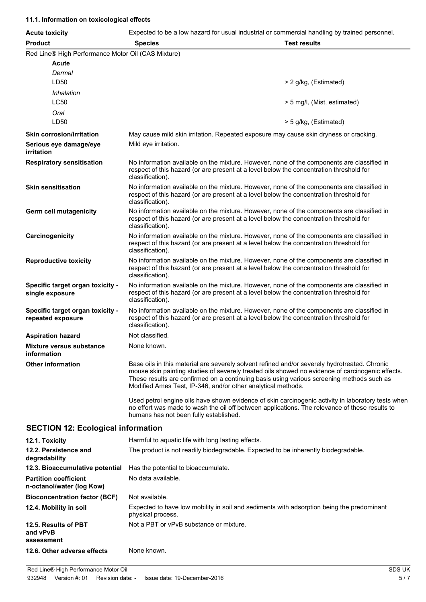#### **11.1. Information on toxicological effects**

| <b>Acute toxicity</b>                                     | Expected to be a low hazard for usual industrial or commercial handling by trained personnel.                                                                                                             |                                                                                                                                                                                                                                                                                                                                                                |
|-----------------------------------------------------------|-----------------------------------------------------------------------------------------------------------------------------------------------------------------------------------------------------------|----------------------------------------------------------------------------------------------------------------------------------------------------------------------------------------------------------------------------------------------------------------------------------------------------------------------------------------------------------------|
| <b>Product</b>                                            | <b>Species</b>                                                                                                                                                                                            | <b>Test results</b>                                                                                                                                                                                                                                                                                                                                            |
| Red Line® High Performance Motor Oil (CAS Mixture)        |                                                                                                                                                                                                           |                                                                                                                                                                                                                                                                                                                                                                |
| Acute                                                     |                                                                                                                                                                                                           |                                                                                                                                                                                                                                                                                                                                                                |
| Dermal                                                    |                                                                                                                                                                                                           |                                                                                                                                                                                                                                                                                                                                                                |
| LD50                                                      |                                                                                                                                                                                                           | > 2 g/kg, (Estimated)                                                                                                                                                                                                                                                                                                                                          |
| Inhalation                                                |                                                                                                                                                                                                           |                                                                                                                                                                                                                                                                                                                                                                |
| <b>LC50</b>                                               |                                                                                                                                                                                                           | > 5 mg/l, (Mist, estimated)                                                                                                                                                                                                                                                                                                                                    |
| Oral<br>LD50                                              |                                                                                                                                                                                                           | > 5 g/kg, (Estimated)                                                                                                                                                                                                                                                                                                                                          |
|                                                           |                                                                                                                                                                                                           |                                                                                                                                                                                                                                                                                                                                                                |
| <b>Skin corrosion/irritation</b>                          |                                                                                                                                                                                                           | May cause mild skin irritation. Repeated exposure may cause skin dryness or cracking.                                                                                                                                                                                                                                                                          |
| Serious eye damage/eye<br><i>irritation</i>               | Mild eye irritation.                                                                                                                                                                                      |                                                                                                                                                                                                                                                                                                                                                                |
| <b>Respiratory sensitisation</b>                          | classification).                                                                                                                                                                                          | No information available on the mixture. However, none of the components are classified in<br>respect of this hazard (or are present at a level below the concentration threshold for                                                                                                                                                                          |
| <b>Skin sensitisation</b>                                 | No information available on the mixture. However, none of the components are classified in<br>respect of this hazard (or are present at a level below the concentration threshold for<br>classification). |                                                                                                                                                                                                                                                                                                                                                                |
| <b>Germ cell mutagenicity</b>                             | No information available on the mixture. However, none of the components are classified in<br>respect of this hazard (or are present at a level below the concentration threshold for<br>classification). |                                                                                                                                                                                                                                                                                                                                                                |
| Carcinogenicity                                           | No information available on the mixture. However, none of the components are classified in<br>respect of this hazard (or are present at a level below the concentration threshold for<br>classification). |                                                                                                                                                                                                                                                                                                                                                                |
| <b>Reproductive toxicity</b>                              | classification).                                                                                                                                                                                          | No information available on the mixture. However, none of the components are classified in<br>respect of this hazard (or are present at a level below the concentration threshold for                                                                                                                                                                          |
| Specific target organ toxicity -<br>single exposure       | No information available on the mixture. However, none of the components are classified in<br>respect of this hazard (or are present at a level below the concentration threshold for<br>classification). |                                                                                                                                                                                                                                                                                                                                                                |
| Specific target organ toxicity -<br>repeated exposure     | No information available on the mixture. However, none of the components are classified in<br>respect of this hazard (or are present at a level below the concentration threshold for<br>classification). |                                                                                                                                                                                                                                                                                                                                                                |
| <b>Aspiration hazard</b>                                  | Not classified.                                                                                                                                                                                           |                                                                                                                                                                                                                                                                                                                                                                |
| <b>Mixture versus substance</b><br>information            | None known.                                                                                                                                                                                               |                                                                                                                                                                                                                                                                                                                                                                |
| <b>Other information</b>                                  |                                                                                                                                                                                                           | Base oils in this material are severely solvent refined and/or severely hydrotreated. Chronic<br>mouse skin painting studies of severely treated oils showed no evidence of carcinogenic effects.<br>These results are confirmed on a continuing basis using various screening methods such as<br>Modified Ames Test, IP-346, and/or other analytical methods. |
|                                                           | humans has not been fully established.                                                                                                                                                                    | Used petrol engine oils have shown evidence of skin carcinogenic activity in laboratory tests when<br>no effort was made to wash the oil off between applications. The relevance of these results to                                                                                                                                                           |
| <b>SECTION 12: Ecological information</b>                 |                                                                                                                                                                                                           |                                                                                                                                                                                                                                                                                                                                                                |
| 12.1. Toxicity                                            | Harmful to aquatic life with long lasting effects.                                                                                                                                                        |                                                                                                                                                                                                                                                                                                                                                                |
| 12.2. Persistence and<br>degradability                    |                                                                                                                                                                                                           | The product is not readily biodegradable. Expected to be inherently biodegradable.                                                                                                                                                                                                                                                                             |
| 12.3. Bioaccumulative potential                           | Has the potential to bioaccumulate.                                                                                                                                                                       |                                                                                                                                                                                                                                                                                                                                                                |
| <b>Partition coefficient</b><br>n-octanol/water (log Kow) | No data available.                                                                                                                                                                                        |                                                                                                                                                                                                                                                                                                                                                                |
| <b>Bioconcentration factor (BCF)</b>                      | Not available.                                                                                                                                                                                            |                                                                                                                                                                                                                                                                                                                                                                |
| 12.4. Mobility in soil                                    | physical process.                                                                                                                                                                                         | Expected to have low mobility in soil and sediments with adsorption being the predominant                                                                                                                                                                                                                                                                      |
| 12.5. Results of PBT<br>and vPvB                          | Not a PBT or vPvB substance or mixture.                                                                                                                                                                   |                                                                                                                                                                                                                                                                                                                                                                |
| assessment                                                |                                                                                                                                                                                                           |                                                                                                                                                                                                                                                                                                                                                                |
| 12.6. Other adverse effects                               | None known.                                                                                                                                                                                               |                                                                                                                                                                                                                                                                                                                                                                |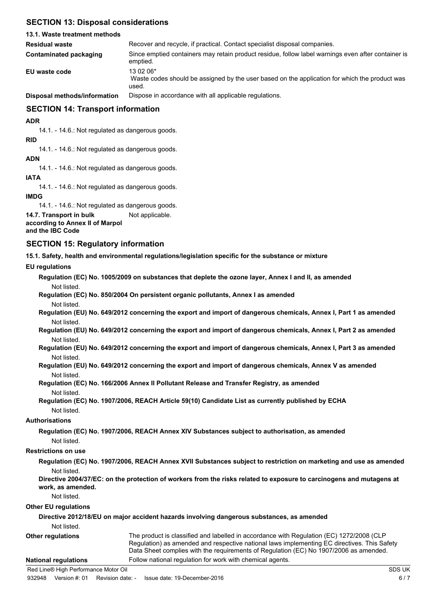## **SECTION 13: Disposal considerations**

| 13.1. Waste treatment methods |                                                                                                                     |
|-------------------------------|---------------------------------------------------------------------------------------------------------------------|
| <b>Residual waste</b>         | Recover and recycle, if practical. Contact specialist disposal companies.                                           |
| Contaminated packaging        | Since emptied containers may retain product residue, follow label warnings even after container is<br>emptied.      |
| EU waste code                 | 13 02 06*<br>Waste codes should be assigned by the user based on the application for which the product was<br>used. |
| Disposal methods/information  | Dispose in accordance with all applicable regulations.                                                              |

## **SECTION 14: Transport information**

#### **ADR**

14.1. - 14.6.: Not regulated as dangerous goods.

#### **RID**

14.1. - 14.6.: Not regulated as dangerous goods.

#### **ADN**

14.1. - 14.6.: Not regulated as dangerous goods.

#### **IATA**

14.1. - 14.6.: Not regulated as dangerous goods.

#### **IMDG**

14.1. - 14.6.: Not regulated as dangerous goods.

**14.7. Transport in bulk** Not applicable.

**according to Annex II of Marpol**

### **and the IBC Code**

### **SECTION 15: Regulatory information**

**15.1. Safety, health and environmental regulations/legislation specific for the substance or mixture**

#### **EU regulations**

**Regulation (EC) No. 1005/2009 on substances that deplete the ozone layer, Annex I and II, as amended** Not listed.

**Regulation (EC) No. 850/2004 On persistent organic pollutants, Annex I as amended** Not listed.

**Regulation (EU) No. 649/2012 concerning the export and import of dangerous chemicals, Annex I, Part 1 as amended** Not listed.

**Regulation (EU) No. 649/2012 concerning the export and import of dangerous chemicals, Annex I, Part 2 as amended** Not listed.

**Regulation (EU) No. 649/2012 concerning the export and import of dangerous chemicals, Annex I, Part 3 as amended** Not listed.

**Regulation (EU) No. 649/2012 concerning the export and import of dangerous chemicals, Annex V as amended** Not listed.

**Regulation (EC) No. 166/2006 Annex II Pollutant Release and Transfer Registry, as amended** Not listed.

**Regulation (EC) No. 1907/2006, REACH Article 59(10) Candidate List as currently published by ECHA** Not listed.

#### **Authorisations**

**Regulation (EC) No. 1907/2006, REACH Annex XIV Substances subject to authorisation, as amended** Not listed.

#### **Restrictions on use**

**Regulation (EC) No. 1907/2006, REACH Annex XVII Substances subject to restriction on marketing and use as amended** Not listed.

**Directive 2004/37/EC: on the protection of workers from the risks related to exposure to carcinogens and mutagens at work, as amended.**

Not listed.

#### **Other EU regulations**

**Directive 2012/18/EU on major accident hazards involving dangerous substances, as amended** Not listed. The product is classified and labelled in accordance with Regulation (EC) 1272/2008 (CLP Regulation) as amended and respective national laws implementing EC directives. This Safety Data Sheet complies with the requirements of Regulation (EC) No 1907/2006 as amended. **Other regulations National regulations** Follow national regulation for work with chemical agents.